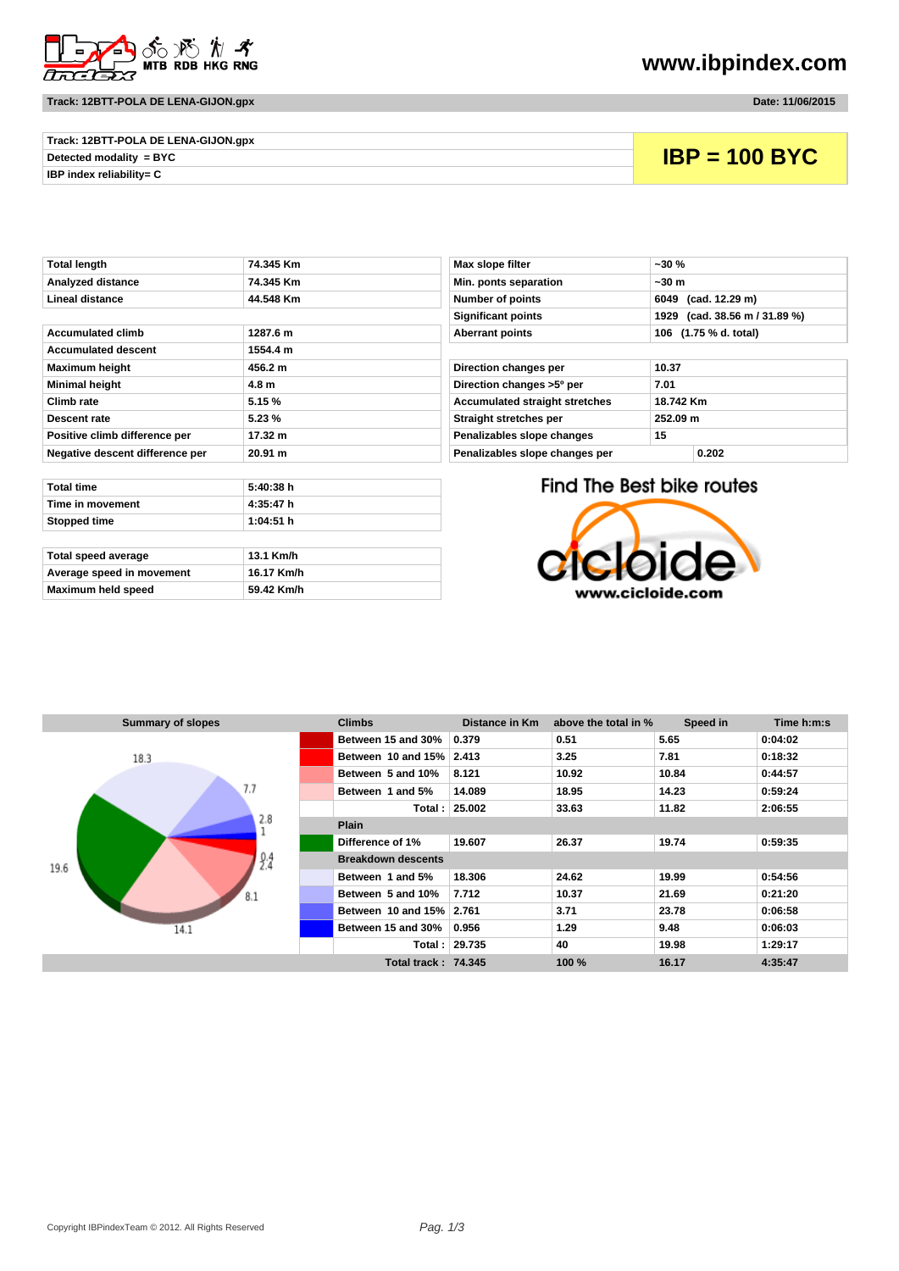

#### **Track: 12BTT-POLA DE LENA-GIJON.gpx Date: 11/06/2015**

**www.ibpindex.com**

| Track: 12BTT-POLA DE LENA-GIJON.gpx |  |
|-------------------------------------|--|
| Detected modality = BYC             |  |
| <b>IBP index reliability= C</b>     |  |

## **Detected modality = BYC IBP = 100 BYC**

| TULAI ICHYLII                   | ווווו טדישה ו    | <b>MAY SIGNAL INTER</b>               | "ט ט                      |
|---------------------------------|------------------|---------------------------------------|---------------------------|
| Analyzed distance               | 74.345 Km        | Min. ponts separation                 | $-30m$                    |
| Lineal distance                 | 44.548 Km        | Number of points                      | 6049 (cad. 12.29 m)       |
|                                 |                  | <b>Significant points</b>             | 1929 (cad. 38.56 m)       |
| <b>Accumulated climb</b>        | 1287.6 m         | <b>Aberrant points</b>                | 106 (1.75 % d. total)     |
| <b>Accumulated descent</b>      | 1554.4 m         |                                       |                           |
| <b>Maximum height</b>           | 456.2 m          | Direction changes per                 | 10.37                     |
| <b>Minimal height</b>           | 4.8 <sub>m</sub> | Direction changes >5° per             | 7.01                      |
| Climb rate                      | 5.15%            | <b>Accumulated straight stretches</b> | 18.742 Km                 |
| Descent rate                    | 5.23%            | Straight stretches per                | 252.09 m                  |
| Positive climb difference per   | 17.32 m          | Penalizables slope changes            | 15                        |
| Negative descent difference per | 20.91 m          | Penalizables slope changes per        | 0.202                     |
|                                 |                  |                                       |                           |
| <b>Total time</b>               | 5:40:38 h        |                                       | Find The Best bike routes |
| Time in movement                | 4:35:47 h        |                                       |                           |
| Stopped time                    | 1:04:51 h        |                                       |                           |

| Total speed average       | 13.1 Km/h  |
|---------------------------|------------|
| Average speed in movement | 16.17 Km/h |
| Maximum held speed        | 59.42 Km/h |

| Total length                    | 74.345 Km | Max slope filter<br>$-30%$              |                       |                               |
|---------------------------------|-----------|-----------------------------------------|-----------------------|-------------------------------|
| Analyzed distance               | 74.345 Km | Min. ponts separation                   | ~50m                  |                               |
| Lineal distance                 | 44.548 Km | Number of points                        | 6049 (cad. 12.29 m)   |                               |
|                                 |           | <b>Significant points</b>               |                       | 1929 (cad. 38.56 m / 31.89 %) |
| Accumulated climb               | 1287.6 m  | <b>Aberrant points</b>                  | 106 (1.75 % d. total) |                               |
| <b>Accumulated descent</b>      | 1554.4 m  |                                         |                       |                               |
| Maximum height                  | 456.2 m   | Direction changes per                   | 10.37                 |                               |
| Minimal height                  | 4.8 m     | Direction changes >5° per               | 7.01                  |                               |
| Climb rate                      | 5.15 %    | <b>Accumulated straight stretches</b>   | 18.742 Km             |                               |
| Descent rate                    | 5.23%     | Straight stretches per                  | 252.09 m              |                               |
| Positive climb difference per   | 17.32 m   | Penalizables slope changes<br>15        |                       |                               |
| Negative descent difference per | 20.91 m   | Penalizables slope changes per<br>0.202 |                       |                               |

### Find The Best bike routes



| <b>Summary of slopes</b> | <b>Climbs</b>              | Distance in Km | above the total in % | Speed in | Time h:m:s |
|--------------------------|----------------------------|----------------|----------------------|----------|------------|
|                          | Between 15 and 30%         | 0.379          | 0.51                 | 5.65     | 0:04:02    |
| 18.3                     | Between 10 and 15% 2.413   |                | 3.25                 | 7.81     | 0:18:32    |
|                          | Between 5 and 10%          | 8.121          | 10.92                | 10.84    | 0:44:57    |
| 7.7                      | Between 1 and 5%           | 14.089         | 18.95                | 14.23    | 0:59:24    |
|                          |                            | Total: 25.002  | 33.63                | 11.82    | 2:06:55    |
| 2.8                      | <b>Plain</b>               |                |                      |          |            |
|                          | Difference of 1%           | 19.607         | 26.37                | 19.74    | 0:59:35    |
| 2.4<br>19.6              | <b>Breakdown descents</b>  |                |                      |          |            |
|                          | Between 1 and 5%           | 18.306         | 24.62                | 19.99    | 0:54:56    |
| 8.1                      | Between 5 and 10%          | 7.712          | 10.37                | 21.69    | 0:21:20    |
|                          | Between 10 and 15% 2.761   |                | 3.71                 | 23.78    | 0:06:58    |
| 14.1                     | Between 15 and 30%         | 0.956          | 1.29                 | 9.48     | 0:06:03    |
|                          |                            | Total: 29.735  | 40                   | 19.98    | 1:29:17    |
|                          | <b>Total track: 74.345</b> |                | 100 %                | 16.17    | 4:35:47    |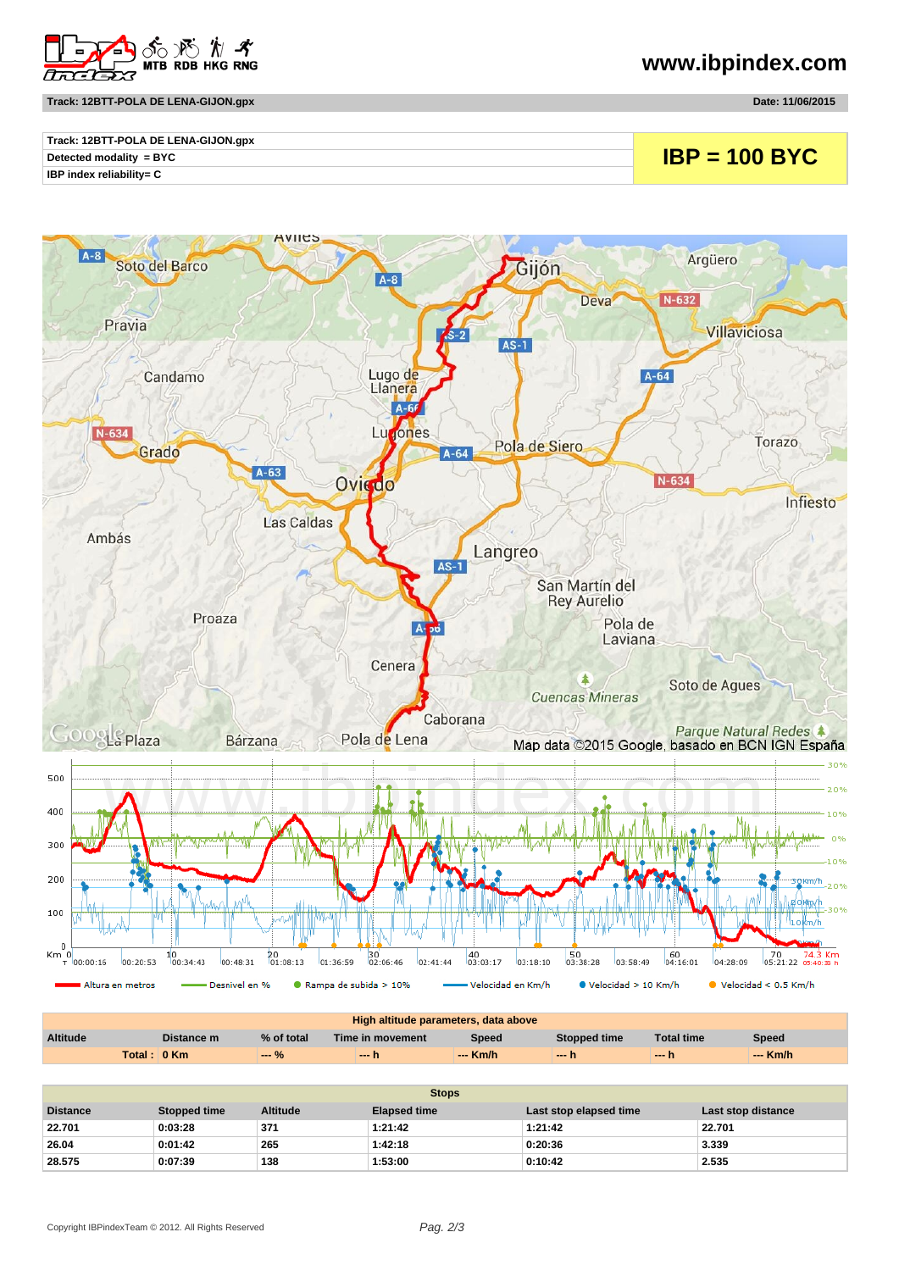

## **www.ibpindex.com**

**Track: 12BTT-POLA DE LENA-GIJON.gpx Date: 11/06/2015**

| Track: 12BTT-POLA DE LENA-GIJON.gpx |                 |
|-------------------------------------|-----------------|
| Detected modality = $BYC$           | $IBP = 100 BYC$ |
| IBP index reliability= C            |                 |



| High altitude parameters, data above |             |            |                  |          |              |                   |          |
|--------------------------------------|-------------|------------|------------------|----------|--------------|-------------------|----------|
| <b>Altitude</b>                      | Distance m  | % of total | Time in movement | Speed    | Stopped time | <b>Total time</b> | Speed    |
|                                      | Total: 0 Km | ---        | — h              | --- Km/h | $-h$         | $-1$              | $-$ Km/h |

| <b>Stops</b>    |                     |                 |                     |                        |                    |  |
|-----------------|---------------------|-----------------|---------------------|------------------------|--------------------|--|
| <b>Distance</b> | <b>Stopped time</b> | <b>Altitude</b> | <b>Elapsed time</b> | Last stop elapsed time | Last stop distance |  |
| 22.701          | 0:03:28             | 371             | 1:21:42             | 1:21:42                | 22.701             |  |
| 26.04           | 0:01:42             | 265             | 1:42:18             | 0:20:36                | 3.339              |  |
| 28.575          | 0:07:39             | 138             | 1:53:00             | 0:10:42                | 2.535              |  |